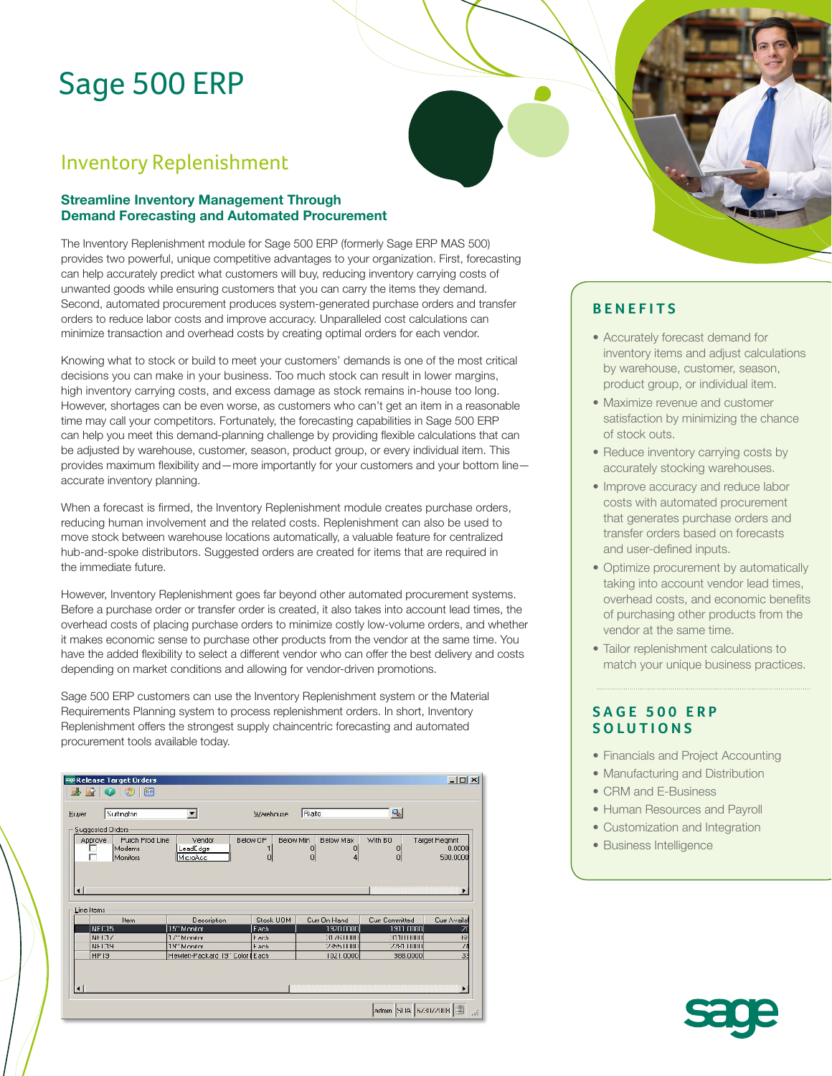# Sage 500 ERP

# Inventory Replenishment

### **Streamline Inventory Management Through Demand Forecasting and Automated Procurement**

The Inventory Replenishment module for Sage 500 ERP (formerly Sage ERP MAS 500) provides two powerful, unique competitive advantages to your organization. First, forecasting can help accurately predict what customers will buy, reducing inventory carrying costs of unwanted goods while ensuring customers that you can carry the items they demand. Second, automated procurement produces system-generated purchase orders and transfer orders to reduce labor costs and improve accuracy. Unparalleled cost calculations can minimize transaction and overhead costs by creating optimal orders for each vendor.

Knowing what to stock or build to meet your customers' demands is one of the most critical decisions you can make in your business. Too much stock can result in lower margins, high inventory carrying costs, and excess damage as stock remains in-house too long. However, shortages can be even worse, as customers who can't get an item in a reasonable time may call your competitors. Fortunately, the forecasting capabilities in Sage 500 ERP can help you meet this demand-planning challenge by providing flexible calculations that can be adjusted by warehouse, customer, season, product group, or every individual item. This provides maximum flexibility and—more importantly for your customers and your bottom line accurate inventory planning.

When a forecast is firmed, the Inventory Replenishment module creates purchase orders, reducing human involvement and the related costs. Replenishment can also be used to move stock between warehouse locations automatically, a valuable feature for centralized hub-and-spoke distributors. Suggested orders are created for items that are required in the immediate future.

However, Inventory Replenishment goes far beyond other automated procurement systems. Before a purchase order or transfer order is created, it also takes into account lead times, the overhead costs of placing purchase orders to minimize costly low-volume orders, and whether it makes economic sense to purchase other products from the vendor at the same time. You have the added flexibility to select a different vendor who can offer the best delivery and costs depending on market conditions and allowing for vendor-driven promotions.

Sage 500 ERP customers can use the Inventory Replenishment system or the Material Requirements Planning system to process replenishment orders. In short, Inventory Replenishment offers the strongest supply chaincentric forecasting and automated procurement tools available today.

|                                | se Release Target Orders              |                                  |                             |                                       |                                    | $-10x$                                   |
|--------------------------------|---------------------------------------|----------------------------------|-----------------------------|---------------------------------------|------------------------------------|------------------------------------------|
|                                | 醢                                     |                                  |                             |                                       |                                    |                                          |
| Huyer                          | Surhngton                             | $\overline{\phantom{a}}$         | Warehouse                   | Rialto                                | ą,                                 |                                          |
|                                | Suggested Orders                      |                                  |                             |                                       |                                    |                                          |
| Approve<br>г<br>$\blacksquare$ | Purch Prod Line<br>Modems<br>Monitors | Vendor<br>LeadEdge<br>MicroAcc   | Below OP<br>Below Min<br> 0 | Below Max<br>O<br>$\overline{0}$<br>0 | With BO<br>0<br>0                  | Target Regmnt<br>0.0000<br>500.0000<br>٠ |
|                                |                                       |                                  |                             |                                       |                                    |                                          |
| Line Items                     |                                       |                                  |                             |                                       |                                    |                                          |
|                                | Item<br>NFC15                         | Description<br>15" Monitor       | Stock UOM<br>Fach           | Curr On Hand<br>1920 0000             | <b>Curr Committed</b><br>1911 0000 | Curr Availal<br>$\overline{2}$ f         |
|                                | NFI.77                                | 17" Monitor                      | <b>Fach</b>                 | 31761000                              | 3111111111                         | <b>HH</b>                                |
|                                | NFT39                                 | 19" Monitor                      | <b>Fach</b>                 | 23511111                              | 2281 10001                         | $\sqrt{4}$                               |
| HP <sub>19</sub>               |                                       | Hewlett-Packard 19" Color   Each |                             | 1021.0000                             | 988.0000                           | $\overline{3}$                           |

# **BENEFITS**

- Accurately forecast demand for inventory items and adjust calculations by warehouse, customer, season, product group, or individual item.
- Maximize revenue and customer satisfaction by minimizing the chance of stock outs.
- Reduce inventory carrying costs by accurately stocking warehouses.
- Improve accuracy and reduce labor costs with automated procurement that generates purchase orders and transfer orders based on forecasts and user-defined inputs.
- • Optimize procurement by automatically taking into account vendor lead times, overhead costs, and economic benefits of purchasing other products from the vendor at the same time.
- Tailor replenishment calculations to match your unique business practices.

### **SAGE 500 ERP SOLUTIONS**

- Financials and Project Accounting
- Manufacturing and Distribution
- CRM and E-Business
- Human Resources and Payroll
- Customization and Integration
- Business Intelligence